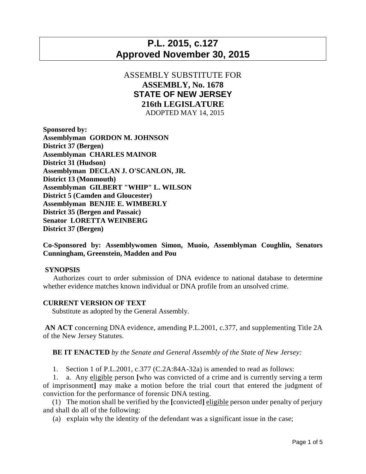## **P.L. 2015, c.127 Approved November 30, 2015**

## ASSEMBLY SUBSTITUTE FOR **ASSEMBLY, No. 1678 STATE OF NEW JERSEY 216th LEGISLATURE** ADOPTED MAY 14, 2015

**Sponsored by: Assemblyman GORDON M. JOHNSON District 37 (Bergen) Assemblyman CHARLES MAINOR District 31 (Hudson) Assemblyman DECLAN J. O'SCANLON, JR. District 13 (Monmouth) Assemblyman GILBERT "WHIP" L. WILSON District 5 (Camden and Gloucester) Assemblyman BENJIE E. WIMBERLY District 35 (Bergen and Passaic) Senator LORETTA WEINBERG District 37 (Bergen)**

**Co-Sponsored by: Assemblywomen Simon, Muoio, Assemblyman Coughlin, Senators Cunningham, Greenstein, Madden and Pou**

## **SYNOPSIS**

 Authorizes court to order submission of DNA evidence to national database to determine whether evidence matches known individual or DNA profile from an unsolved crime.

## **CURRENT VERSION OF TEXT**

Substitute as adopted by the General Assembly.

**AN ACT** concerning DNA evidence, amending P.L.2001, c.377, and supplementing Title 2A of the New Jersey Statutes.

 **BE IT ENACTED** *by the Senate and General Assembly of the State of New Jersey:*

1. Section 1 of P.L.2001, c.377 (C.2A:84A-32a) is amended to read as follows:

 1. a. Any eligible person **[**who was convicted of a crime and is currently serving a term of imprisonment**]** may make a motion before the trial court that entered the judgment of conviction for the performance of forensic DNA testing.

 (1) The motion shall be verified by the **[**convicted**]** eligible person under penalty of perjury and shall do all of the following:

(a) explain why the identity of the defendant was a significant issue in the case;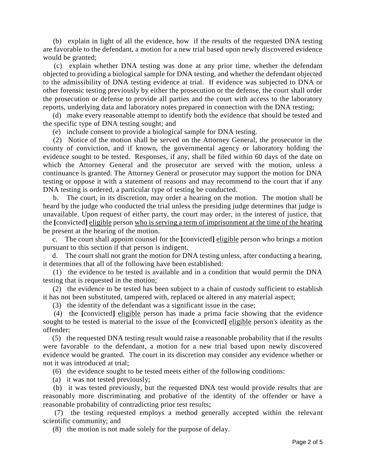(b) explain in light of all the evidence, how if the results of the requested DNA testing are favorable to the defendant, a motion for a new trial based upon newly discovered evidence would be granted;

 (c) explain whether DNA testing was done at any prior time, whether the defendant objected to providing a biological sample for DNA testing, and whether the defendant objected to the admissibility of DNA testing evidence at trial. If evidence was subjected to DNA or other forensic testing previously by either the prosecution or the defense, the court shall order the prosecution or defense to provide all parties and the court with access to the laboratory reports, underlying data and laboratory notes prepared in connection with the DNA testing;

 (d) make every reasonable attempt to identify both the evidence that should be tested and the specific type of DNA testing sought; and

(e) include consent to provide a biological sample for DNA testing.

 (2) Notice of the motion shall be served on the Attorney General, the prosecutor in the county of conviction, and if known, the governmental agency or laboratory holding the evidence sought to be tested. Responses, if any, shall be filed within 60 days of the date on which the Attorney General and the prosecutor are served with the motion, unless a continuance is granted. The Attorney General or prosecutor may support the motion for DNA testing or oppose it with a statement of reasons and may recommend to the court that if any DNA testing is ordered, a particular type of testing be conducted.

 b. The court, in its discretion, may order a hearing on the motion. The motion shall be heard by the judge who conducted the trial unless the presiding judge determines that judge is unavailable. Upon request of either party, the court may order, in the interest of justice, that the **[**convicted**]** eligible person who is serving a term of imprisonment at the time of the hearing be present at the hearing of the motion.

 c. The court shall appoint counsel for the **[**convicted**]** eligible person who brings a motion pursuant to this section if that person is indigent.

 d. The court shall not grant the motion for DNA testing unless, after conducting a hearing, it determines that all of the following have been established:

 (1) the evidence to be tested is available and in a condition that would permit the DNA testing that is requested in the motion;

 (2) the evidence to be tested has been subject to a chain of custody sufficient to establish it has not been substituted, tampered with, replaced or altered in any material aspect;

(3) the identity of the defendant was a significant issue in the case;

 (4) the **[**convicted**]** eligible person has made a prima facie showing that the evidence sought to be tested is material to the issue of the [convicted] eligible person's identity as the offender;

 (5) the requested DNA testing result would raise a reasonable probability that if the results were favorable to the defendant, a motion for a new trial based upon newly discovered evidence would be granted. The court in its discretion may consider any evidence whether or not it was introduced at trial;

(6) the evidence sought to be tested meets either of the following conditions:

(a) it was not tested previously;

 (b) it was tested previously, but the requested DNA test would provide results that are reasonably more discriminating and probative of the identity of the offender or have a reasonable probability of contradicting prior test results;

 (7) the testing requested employs a method generally accepted within the relevant scientific community; and

(8) the motion is not made solely for the purpose of delay.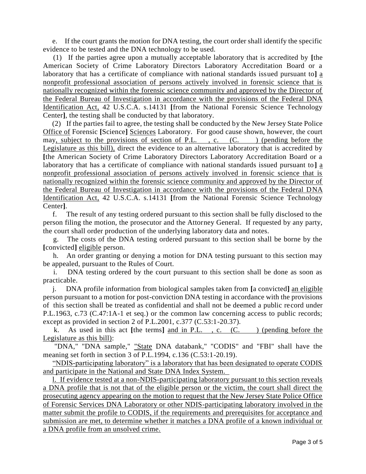e. If the court grants the motion for DNA testing, the court order shall identify the specific evidence to be tested and the DNA technology to be used.

 (1) If the parties agree upon a mutually acceptable laboratory that is accredited by **[**the American Society of Crime Laboratory Directors Laboratory Accreditation Board or a laboratory that has a certificate of compliance with national standards issued pursuant to**]** a nonprofit professional association of persons actively involved in forensic science that is nationally recognized within the forensic science community and approved by the Director of the Federal Bureau of Investigation in accordance with the provisions of the Federal DNA Identification Act, 42 U.S.C.A. s.14131 **[**from the National Forensic Science Technology Center**]**, the testing shall be conducted by that laboratory.

 (2) If the parties fail to agree, the testing shall be conducted by the New Jersey State Police Office of Forensic **[**Science**]** Sciences Laboratory. For good cause shown, however, the court may, subject to the provisions of section of P.L., c.  $(C.$  (C. ) (pending before the Legislature as this bill), direct the evidence to an alternative laboratory that is accredited by **[**the American Society of Crime Laboratory Directors Laboratory Accreditation Board or a laboratory that has a certificate of compliance with national standards issued pursuant to**]** a nonprofit professional association of persons actively involved in forensic science that is nationally recognized within the forensic science community and approved by the Director of the Federal Bureau of Investigation in accordance with the provisions of the Federal DNA Identification Act, 42 U.S.C.A. s.14131 **[**from the National Forensic Science Technology Center**]**.

 f. The result of any testing ordered pursuant to this section shall be fully disclosed to the person filing the motion, the prosecutor and the Attorney General. If requested by any party, the court shall order production of the underlying laboratory data and notes.

 g. The costs of the DNA testing ordered pursuant to this section shall be borne by the **[**convicted**]** eligible person.

 h. An order granting or denying a motion for DNA testing pursuant to this section may be appealed, pursuant to the Rules of Court.

 i. DNA testing ordered by the court pursuant to this section shall be done as soon as practicable.

 j. DNA profile information from biological samples taken from **[**a convicted**]** an eligible person pursuant to a motion for post-conviction DNA testing in accordance with the provisions of this section shall be treated as confidential and shall not be deemed a public record under P.L.1963, c.73 (C.47:1A-1 et seq.) or the common law concerning access to public records; except as provided in section 2 of P.L.2001, c.377 (C.53:1-20.37).

 k. As used in this act **[**the terms**]** and in P.L. , c. (C. ) (pending before the Legislature as this bill):

 "DNA," "DNA sample," "State DNA databank," "CODIS" and "FBI" shall have the meaning set forth in section 3 of P.L.1994, c.136 (C.53:1-20.19).

 "NDIS-participating laboratory" is a laboratory that has been designated to operate CODIS and participate in the National and State DNA Index System.

 l. If evidence tested at a non-NDIS-participating laboratory pursuant to this section reveals a DNA profile that is not that of the eligible person or the victim, the court shall direct the prosecuting agency appearing on the motion to request that the New Jersey State Police Office of Forensic Services DNA Laboratory or other NDIS-participating laboratory involved in the matter submit the profile to CODIS, if the requirements and prerequisites for acceptance and submission are met, to determine whether it matches a DNA profile of a known individual or a DNA profile from an unsolved crime.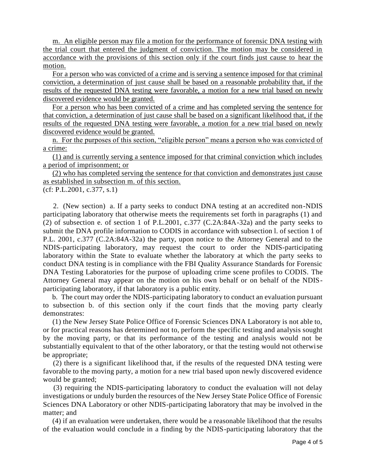m. An eligible person may file a motion for the performance of forensic DNA testing with the trial court that entered the judgment of conviction. The motion may be considered in accordance with the provisions of this section only if the court finds just cause to hear the motion.

 For a person who was convicted of a crime and is serving a sentence imposed for that criminal conviction, a determination of just cause shall be based on a reasonable probability that, if the results of the requested DNA testing were favorable, a motion for a new trial based on newly discovered evidence would be granted.

 For a person who has been convicted of a crime and has completed serving the sentence for that conviction, a determination of just cause shall be based on a significant likelihood that, if the results of the requested DNA testing were favorable, a motion for a new trial based on newly discovered evidence would be granted.

 n. For the purposes of this section, "eligible person" means a person who was convicted of a crime:

 (1) and is currently serving a sentence imposed for that criminal conviction which includes a period of imprisonment; or

 (2) who has completed serving the sentence for that conviction and demonstrates just cause as established in subsection m. of this section.

(cf: P.L.2001, c.377, s.1)

2. (New section) a. If a party seeks to conduct DNA testing at an accredited non-NDIS participating laboratory that otherwise meets the requirements set forth in paragraphs (1) and (2) of subsection e. of section 1 of P.L.2001, c.377 (C.2A:84A-32a) and the party seeks to submit the DNA profile information to CODIS in accordance with subsection l. of section 1 of P.L. 2001, c.377 (C.2A:84A-32a) the party, upon notice to the Attorney General and to the NDIS-participating laboratory, may request the court to order the NDIS-participating laboratory within the State to evaluate whether the laboratory at which the party seeks to conduct DNA testing is in compliance with the FBI Quality Assurance Standards for Forensic DNA Testing Laboratories for the purpose of uploading crime scene profiles to CODIS. The Attorney General may appear on the motion on his own behalf or on behalf of the NDISparticipating laboratory, if that laboratory is a public entity.

b. The court may order the NDIS-participating laboratory to conduct an evaluation pursuant to subsection b. of this section only if the court finds that the moving party clearly demonstrates:

 (1) the New Jersey State Police Office of Forensic Sciences DNA Laboratory is not able to, or for practical reasons has determined not to, perform the specific testing and analysis sought by the moving party, or that its performance of the testing and analysis would not be substantially equivalent to that of the other laboratory, or that the testing would not otherwise be appropriate;

 (2) there is a significant likelihood that, if the results of the requested DNA testing were favorable to the moving party, a motion for a new trial based upon newly discovered evidence would be granted;

(3) requiring the NDIS-participating laboratory to conduct the evaluation will not delay investigations or unduly burden the resources of the New Jersey State Police Office of Forensic Sciences DNA Laboratory or other NDIS-participating laboratory that may be involved in the matter; and

 (4) if an evaluation were undertaken, there would be a reasonable likelihood that the results of the evaluation would conclude in a finding by the NDIS-participating laboratory that the